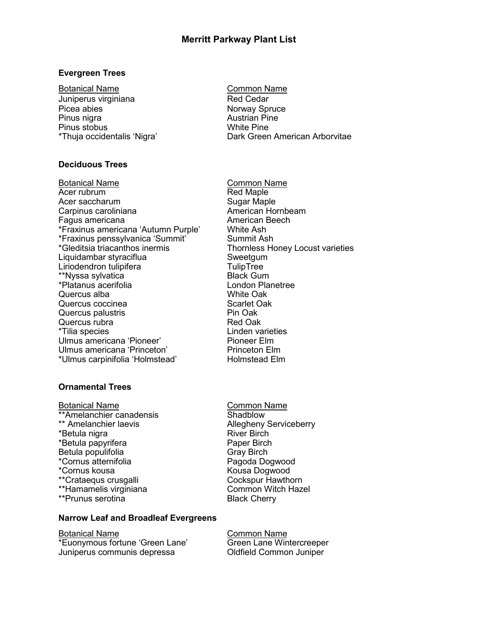# **Evergreen Trees**

Botanical Name Common Name Juniperus virginiana **Red Cedar** Picea abies Norway Spruce Pinus nigra<br>
Pinus stobus<br>
Pinus stobus<br>
Austrian Pine<br>
Mhite Pine Pinus stobus

## **Deciduous Trees**

Botanical Name Common Name Acer rubrum Red Maple Acer saccharum and Sugar Maple<br>
Carpinus caroliniana and Sugar Maple Sugar Mornbeam Carpinus caroliniana and an american Hornbe<br>
Fagus americana ann am American Beech Fagus americana \*Fraxinus americana 'Autumn Purple' White Ash \*Fraxinus penssylvanica 'Summit' Summit Ash \*Gleditsia triacanthos inermis Thornless Honey Locust varieties Liquidambar styraciflua Sweetgum Liriodendron tulipifera TulipTree \*\*Nyssa sylvatica Black Gum \*Platanus acerifolia Quercus alba White Oak Quercus coccinea and solution of Scarlet Oak Quercus palustris **Pin Oak** Quercus rubra **Red Oak** \*Tilia species Linden varieties Ulmus americana 'Pioneer' Pioneer Elm<br>
Princeton Elm<br>
Princeton Elm Ulmus americana 'Princeton' \*Ulmus carpinifolia 'Holmstead' Holmstead Elm

## **Ornamental Trees**

Botanical Name<br>\*\*Amelanchier canadensis<br>\*\*Amelanchier canadensis \*\*Amelanchier canadensis \*\* Amelanchier laevis<br>
\*Betula nigra<br>
Allegheny Serviceberry<br>
River Birch \*Betula nigra \*Betula papyrifera **Paper Birch** Betula populifolia and a Gray Birch \*Cornus atternifolia Pagoda Dogwood \*\*Crataequs crusgalli Cockspur Hawthorn \*\*Hamamelis virginiana \*\*Prunus serotina by a controller by Black Cherry

# **Narrow Leaf and Broadleaf Evergreens**

Botanical Name Common Name \*Euonymous fortune 'Green Lane' Green Lane Wintercreeper Juniperus communis depressa Oldfield Common Juniper

\*Thuja occidentalis 'Nigra' Dark Green American Arborvitae

Kousa Dogwood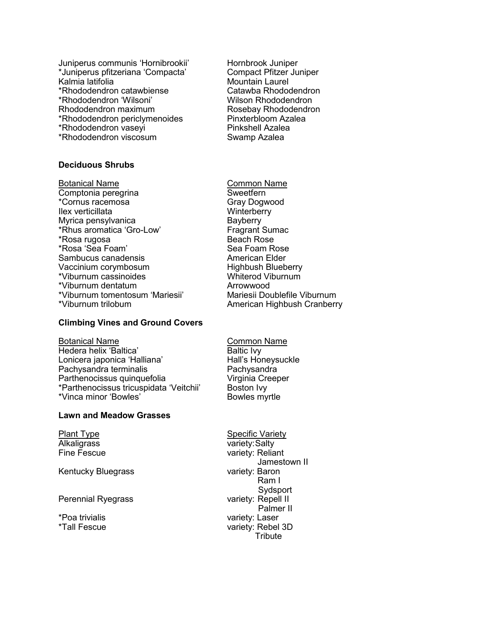Juniperus communis 'Hornibrookii' Hornbrook Juniper \*Juniperus pfitzeriana 'Compacta' Compact Pfitzer Juniper \*Rhododendron catawbiense \*Rhododendron 'Wilsoni' Wilson Rhododendron Rhododendron maximum Rosebay Rhododendron \*Rhododendron periclymenoides Pinxterbloom Azalea \*Rhododendron vaseyi Pinkshell Azalea \*Rhododendron viscosum Swamp Azalea

### **Deciduous Shrubs**

Botanical Name Common Name Comptonia peregrina **Sweetfern** \*Cornus racemosa and Gray Dogwood<br>
Ilex verticillata Ilex verticillata Myrica pensylvanica **Bayberry** \*Rhus aromatica 'Gro-Low' Fragrant Sumac \*Rosa rugosa beach Rose \*Rosa 'Sea Foam' New Sea Foam Rose Sambucus canadensis **American** Elder Vaccinium corymbosum and Highbush Blueberry<br>
\*Viburnum cassinoides Muniterod Viburnum \*Viburnum cassinoides Whiterod Viburnum \*Viburnum dentatum \*Viburnum tomentosum 'Mariesii' Mariesii Doublefile Viburnum \*Viburnum trilobum American Highbush Cranberry

Mountain Laurel<br>Catawba Rhododendron

### **Climbing Vines and Ground Covers**

Botanical Name **Common Name** Hedera helix 'Baltica' Baltic Ivy<br>
Lonicera japonica 'Halliana' Baltic Ivy<br>
Hall's Honeysuckle Lonicera japonica 'Halliana' Pachysandra terminalis **Pachysandra** Parthenocissus quinquefolia virginia Creeper \*Parthenocissus tricuspidata 'Veitchii' Boston Ivy \*Vinca minor 'Bowles' **Bowles** Bowles myrtle

## **Lawn and Meadow Grasses**

Kentucky Bluegrass

Perennial Ryegrass variety: Repell II

Plant Type Specific Variety Alkaligrass variety:Salty Fine Fescue variety: Reliant Jamestown II<br>variety: Baron Ram I Sydsport Palmer II \*Poa trivialis variety: Laser \*Tall Fescue variety: Rebel 3D **Tribute**